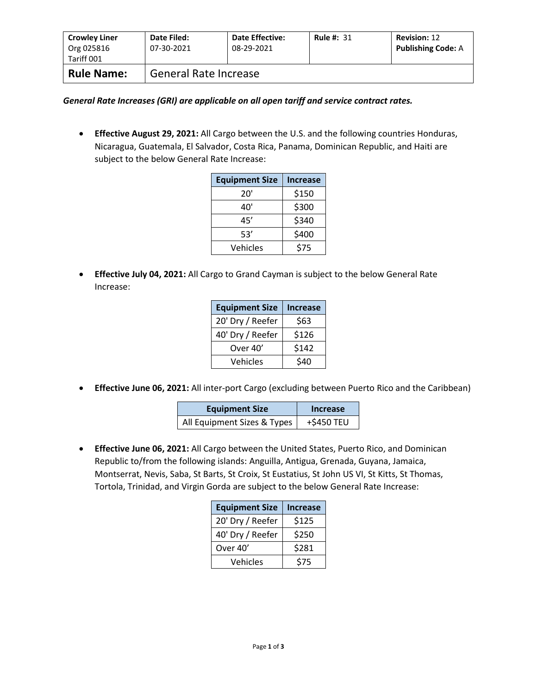| <b>Crowley Liner</b><br>Org 025816<br>Tariff 001 | Date Filed:<br>07-30-2021    | <b>Date Effective:</b><br>08-29-2021 | <b>Rule #: 31</b> | <b>Revision: 12</b><br><b>Publishing Code: A</b> |
|--------------------------------------------------|------------------------------|--------------------------------------|-------------------|--------------------------------------------------|
| <b>Rule Name:</b>                                | <b>General Rate Increase</b> |                                      |                   |                                                  |

*General Rate Increases (GRI) are applicable on all open tariff and service contract rates.*

• **Effective August 29, 2021:** All Cargo between the U.S. and the following countries Honduras, Nicaragua, Guatemala, El Salvador, Costa Rica, Panama, Dominican Republic, and Haiti are subject to the below General Rate Increase:

| <b>Equipment Size</b> | <b>Increase</b> |
|-----------------------|-----------------|
| 20'                   | \$150           |
| 40'                   | \$300           |
| 45'                   | \$340           |
| 53'                   | \$400           |
| Vehicles              | \$75            |

• **Effective July 04, 2021:** All Cargo to Grand Cayman is subject to the below General Rate Increase:

| <b>Equipment Size</b> | <b>Increase</b> |
|-----------------------|-----------------|
| 20' Dry / Reefer      | \$63            |
| 40' Dry / Reefer      | \$126           |
| Over 40'              | \$142           |
| Vehicles              | \$40            |

• **Effective June 06, 2021:** All inter-port Cargo (excluding between Puerto Rico and the Caribbean)

| <b>Equipment Size</b>       | Increase   |  |
|-----------------------------|------------|--|
| All Equipment Sizes & Types | +\$450 TEU |  |

• **Effective June 06, 2021:** All Cargo between the United States, Puerto Rico, and Dominican Republic to/from the following islands: Anguilla, Antigua, Grenada, Guyana, Jamaica, Montserrat, Nevis, Saba, St Barts, St Croix, St Eustatius, St John US VI, St Kitts, St Thomas, Tortola, Trinidad, and Virgin Gorda are subject to the below General Rate Increase:

| <b>Equipment Size</b> | <b>Increase</b> |
|-----------------------|-----------------|
| 20' Dry / Reefer      | \$125           |
| 40' Dry / Reefer      | \$250           |
| Over 40'              | \$281           |
| Vehicles              | \$75            |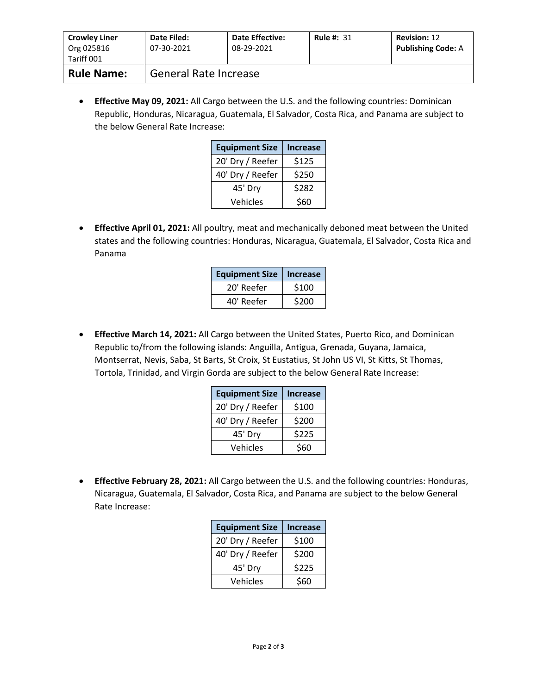| <b>Crowley Liner</b><br>Org 025816<br>Tariff 001 | Date Filed:<br>07-30-2021    | <b>Date Effective:</b><br>08-29-2021 | <b>Rule #: 31</b> | <b>Revision: 12</b><br><b>Publishing Code: A</b> |
|--------------------------------------------------|------------------------------|--------------------------------------|-------------------|--------------------------------------------------|
| <b>Rule Name:</b>                                | <b>General Rate Increase</b> |                                      |                   |                                                  |

• **Effective May 09, 2021:** All Cargo between the U.S. and the following countries: Dominican Republic, Honduras, Nicaragua, Guatemala, El Salvador, Costa Rica, and Panama are subject to the below General Rate Increase:

| <b>Equipment Size</b> | <b>Increase</b> |
|-----------------------|-----------------|
| 20' Dry / Reefer      | \$125           |
| 40' Dry / Reefer      | \$250           |
| 45' Dry               | \$282           |
| Vehicles              | \$60            |

• **Effective April 01, 2021:** All poultry, meat and mechanically deboned meat between the United states and the following countries: Honduras, Nicaragua, Guatemala, El Salvador, Costa Rica and Panama

| <b>Equipment Size</b> | Increase |
|-----------------------|----------|
| 20' Reefer            | \$100    |
| 40' Reefer            | \$200    |

• **Effective March 14, 2021:** All Cargo between the United States, Puerto Rico, and Dominican Republic to/from the following islands: Anguilla, Antigua, Grenada, Guyana, Jamaica, Montserrat, Nevis, Saba, St Barts, St Croix, St Eustatius, St John US VI, St Kitts, St Thomas, Tortola, Trinidad, and Virgin Gorda are subject to the below General Rate Increase:

| <b>Equipment Size</b> | <b>Increase</b> |
|-----------------------|-----------------|
| 20' Dry / Reefer      | \$100           |
| 40' Dry / Reefer      | \$200           |
| 45' Dry               | \$225           |
| Vehicles              | \$60            |

• **Effective February 28, 2021:** All Cargo between the U.S. and the following countries: Honduras, Nicaragua, Guatemala, El Salvador, Costa Rica, and Panama are subject to the below General Rate Increase:

| <b>Equipment Size</b> | <b>Increase</b> |
|-----------------------|-----------------|
| 20' Dry / Reefer      | \$100           |
| 40' Dry / Reefer      | \$200           |
| 45' Dry               | \$225           |
| Vehicles              | \$60            |